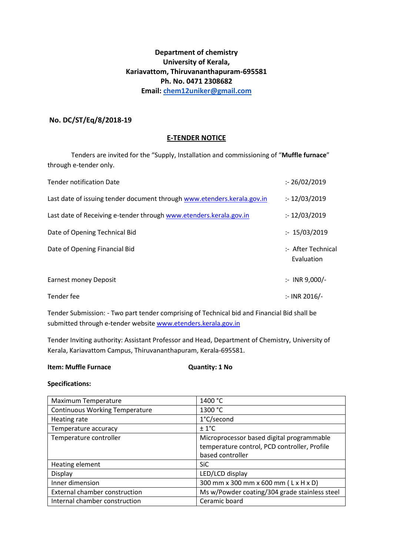# **Department of chemistry University of Kerala, Kariavattom, Thiruvananthapuram-695581 Ph. No. 0471 2308682 Email: [chem12uniker@gmail.com](mailto:chem12uniker@gmail.com)**

## **No. DC/ST/Eq/8/2018-19**

### **E-TENDER NOTICE**

Tenders are invited for the "Supply, Installation and commissioning of "**Muffle furnace**" through e-tender only.

| <b>Tender notification Date</b>                                         | : 26/02/2019                     |
|-------------------------------------------------------------------------|----------------------------------|
| Last date of issuing tender document through www.etenders.kerala.gov.in | : 12/03/2019                     |
| Last date of Receiving e-tender through www.etenders.kerala.gov.in      | : 12/03/2019                     |
| Date of Opening Technical Bid                                           | : 15/03/2019                     |
| Date of Opening Financial Bid                                           | :- After Technical<br>Evaluation |
| <b>Earnest money Deposit</b>                                            | $:$ INR 9,000/-                  |
| Tender fee                                                              | :- INR 2016/-                    |

Tender Submission: - Two part tender comprising of Technical bid and Financial Bid shall be submitted through e-tender websit[e www.etenders.kerala.gov.in](http://www.etenders.kerala.gov.in/)

Tender Inviting authority: Assistant Professor and Head, Department of Chemistry, University of Kerala, Kariavattom Campus, Thiruvananthapuram, Kerala-695581.

#### **Item: Muffle Furnace Case Contract Contract Cuantity: 1 No**

### **Specifications:**

| Maximum Temperature                   | 1400 °C                                       |
|---------------------------------------|-----------------------------------------------|
| <b>Continuous Working Temperature</b> | 1300 °C                                       |
| Heating rate                          | 1°C/second                                    |
| Temperature accuracy                  | $± 1$ °C                                      |
| Temperature controller                | Microprocessor based digital programmable     |
|                                       | temperature control, PCD controller, Profile  |
|                                       | based controller                              |
| Heating element                       | <b>SiC</b>                                    |
| Display                               | LED/LCD display                               |
| Inner dimension                       | 300 mm x 300 mm x 600 mm (Lx H x D)           |
| External chamber construction         | Ms w/Powder coating/304 grade stainless steel |
| Internal chamber construction         | Ceramic board                                 |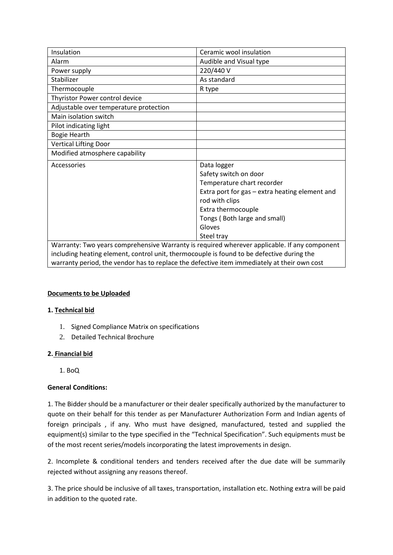| Insulation                                                                                   | Ceramic wool insulation                                                                   |  |  |
|----------------------------------------------------------------------------------------------|-------------------------------------------------------------------------------------------|--|--|
| Alarm                                                                                        | Audible and Visual type                                                                   |  |  |
| Power supply                                                                                 | 220/440 V                                                                                 |  |  |
| Stabilizer                                                                                   | As standard                                                                               |  |  |
| Thermocouple                                                                                 | R type                                                                                    |  |  |
| Thyristor Power control device                                                               |                                                                                           |  |  |
| Adjustable over temperature protection                                                       |                                                                                           |  |  |
| Main isolation switch                                                                        |                                                                                           |  |  |
| Pilot indicating light                                                                       |                                                                                           |  |  |
| Bogie Hearth                                                                                 |                                                                                           |  |  |
| <b>Vertical Lifting Door</b>                                                                 |                                                                                           |  |  |
| Modified atmosphere capability                                                               |                                                                                           |  |  |
| Accessories                                                                                  | Data logger                                                                               |  |  |
|                                                                                              | Safety switch on door                                                                     |  |  |
|                                                                                              | Temperature chart recorder                                                                |  |  |
|                                                                                              | Extra port for gas - extra heating element and                                            |  |  |
|                                                                                              | rod with clips                                                                            |  |  |
|                                                                                              | Extra thermocouple                                                                        |  |  |
|                                                                                              | Tongs (Both large and small)                                                              |  |  |
|                                                                                              | Gloves                                                                                    |  |  |
|                                                                                              | Steel tray                                                                                |  |  |
| Warranty: Two years comprehensive Warranty is required wherever applicable. If any component |                                                                                           |  |  |
|                                                                                              | including heating element, control unit, thermocouple is found to be defective during the |  |  |

warranty period, the vendor has to replace the defective item immediately at their own cost

### **Documents to be Uploaded**

### **1. Technical bid**

- 1. Signed Compliance Matrix on specifications
- 2. Detailed Technical Brochure

### **2. Financial bid**

1. BoQ

## **General Conditions:**

1. The Bidder should be a manufacturer or their dealer specifically authorized by the manufacturer to quote on their behalf for this tender as per Manufacturer Authorization Form and Indian agents of foreign principals , if any. Who must have designed, manufactured, tested and supplied the equipment(s) similar to the type specified in the "Technical Specification". Such equipments must be of the most recent series/models incorporating the latest improvements in design.

2. Incomplete & conditional tenders and tenders received after the due date will be summarily rejected without assigning any reasons thereof.

3. The price should be inclusive of all taxes, transportation, installation etc. Nothing extra will be paid in addition to the quoted rate.